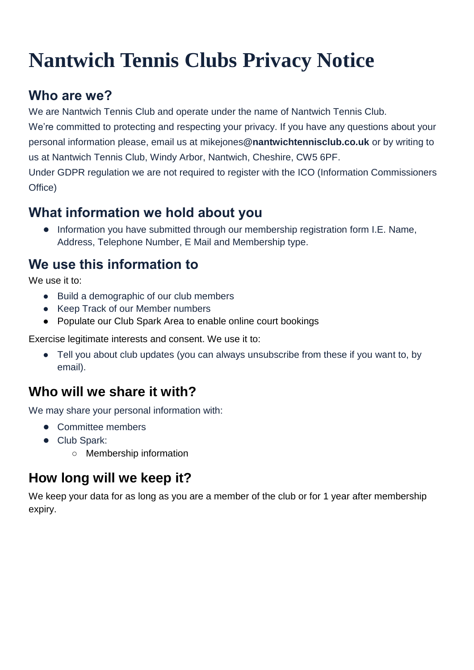# **Nantwich Tennis Clubs Privacy Notice**

## **Who are we?**

We are Nantwich Tennis Club and operate under the name of Nantwich Tennis Club.

We're committed to protecting and respecting your privacy. If you have any questions about your personal information please, email us at mikejones**@nantwichtennisclub.co.uk** or by writing to us at Nantwich Tennis Club, Windy Arbor, Nantwich, Cheshire, CW5 6PF.

Under GDPR regulation we are not required to register with the ICO (Information Commissioners Office)

## **What information we hold about you**

● Information you have submitted through our membership registration form I.E. Name. Address, Telephone Number, E Mail and Membership type.

## **We use this information to**

We use it to:

- Build a demographic of our club members
- Keep Track of our Member numbers
- Populate our Club Spark Area to enable online court bookings

Exercise legitimate interests and consent. We use it to:

• Tell you about club updates (you can always unsubscribe from these if you want to, by email).

## **Who will we share it with?**

We may share your personal information with:

- Committee members
- Club Spark:
	- Membership information

## **How long will we keep it?**

We keep your data for as long as you are a member of the club or for 1 year after membership expiry.